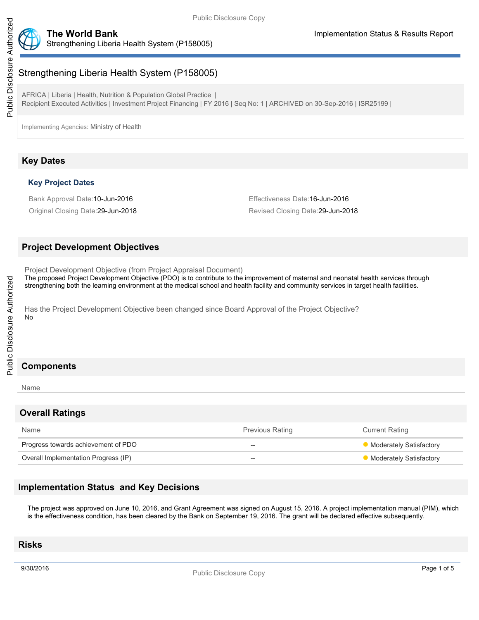



# Strengthening Liberia Health System (P158005)

AFRICA | Liberia | Health, Nutrition & Population Global Practice | Recipient Executed Activities | Investment Project Financing | FY 2016 | Seq No: 1 | ARCHIVED on 30-Sep-2016 | ISR25199 |

Implementing Agencies: Ministry of Health

# **Key Dates**

## **Key Project Dates**

Bank Approval Date:10-Jun-2016 **Effectiveness Date:16-Jun-2016** Effectiveness Date:16-Jun-2016

Original Closing Date:29-Jun-2018 Revised Closing Date:29-Jun-2018

## **Project Development Objectives**

Project Development Objective (from Project Appraisal Document)

The proposed Project Development Objective (PDO) is to contribute to the improvement of maternal and neonatal health services through strengthening both the learning environment at the medical school and health facility and community services in target health facilities.

Has the Project Development Objective been changed since Board Approval of the Project Objective? No

#### Name

#### **Overall Ratings**

| Name                                 | <b>Previous Rating</b> | <b>Current Rating</b>   |
|--------------------------------------|------------------------|-------------------------|
| Progress towards achievement of PDO  | $- -$                  | Moderately Satisfactory |
| Overall Implementation Progress (IP) | $- -$                  | Moderately Satisfactory |

# **Implementation Status and Key Decisions**

The project was approved on June 10, 2016, and Grant Agreement was signed on August 15, 2016. A project implementation manual (PIM), which is the effectiveness condition, has been cleared by the Bank on September 19, 2016. The grant will be declared effective subsequently.

# **Risks**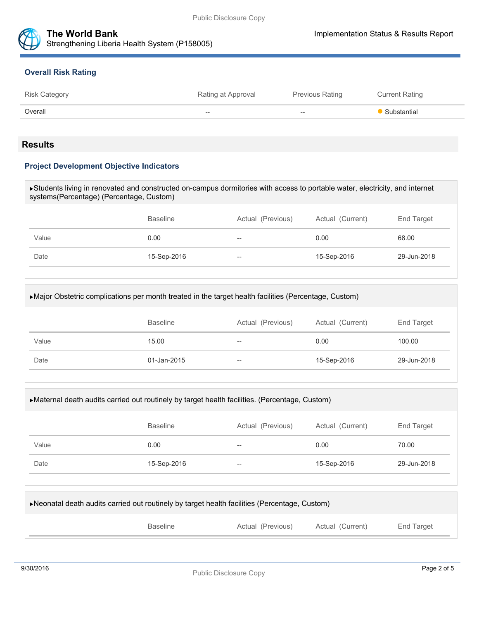



## **Overall Risk Rating**

| <b>Risk Category</b> | Rating at Approval | <b>Previous Rating</b>   | <b>Current Rating</b> |
|----------------------|--------------------|--------------------------|-----------------------|
| Overall              | $- -$              | $\hspace{0.05cm} \ldots$ | Substantial           |
|                      |                    |                          |                       |

## **Results**

## **Project Development Objective Indicators**

| Students living in renovated and constructed on-campus dormitories with access to portable water, electricity, and internet<br>systems(Percentage) (Percentage, Custom) |                 |                   |                  |             |  |
|-------------------------------------------------------------------------------------------------------------------------------------------------------------------------|-----------------|-------------------|------------------|-------------|--|
|                                                                                                                                                                         |                 |                   |                  |             |  |
|                                                                                                                                                                         | <b>Baseline</b> | Actual (Previous) | Actual (Current) | End Target  |  |
| Value                                                                                                                                                                   | 0.00            |                   | 0.00             | 68.00       |  |
| Date                                                                                                                                                                    | 15-Sep-2016     | --                | 15-Sep-2016      | 29-Jun-2018 |  |
|                                                                                                                                                                         |                 |                   |                  |             |  |

| • Major Obstetric complications per month treated in the target health facilities (Percentage, Custom) |             |    |             |             |  |
|--------------------------------------------------------------------------------------------------------|-------------|----|-------------|-------------|--|
| Actual (Previous)<br>Actual (Current)<br><b>Baseline</b><br>End Target                                 |             |    |             |             |  |
| Value                                                                                                  | 15.00       | -- | 0.00        | 100.00      |  |
| Date                                                                                                   | 01-Jan-2015 | -- | 15-Sep-2016 | 29-Jun-2018 |  |
|                                                                                                        |             |    |             |             |  |

| ► Maternal death audits carried out routinely by target health facilities. (Percentage, Custom) |                 |                   |                  |             |  |
|-------------------------------------------------------------------------------------------------|-----------------|-------------------|------------------|-------------|--|
|                                                                                                 | <b>Baseline</b> | Actual (Previous) | Actual (Current) | End Target  |  |
| Value                                                                                           | 0.00            | --                | 0.00             | 70.00       |  |
| Date                                                                                            | 15-Sep-2016     | $- -$             | 15-Sep-2016      | 29-Jun-2018 |  |
|                                                                                                 |                 |                   |                  |             |  |

| ▶ Neonatal death audits carried out routinely by target health facilities (Percentage, Custom) |                   |                  |            |  |  |
|------------------------------------------------------------------------------------------------|-------------------|------------------|------------|--|--|
| <b>Baseline</b>                                                                                | Actual (Previous) | Actual (Current) | End Target |  |  |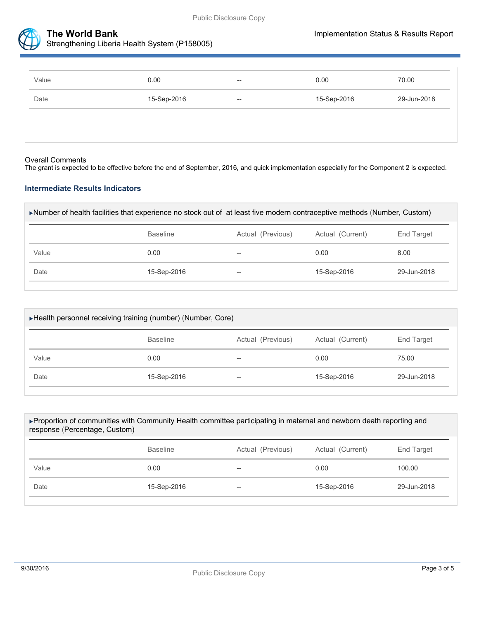



Strengthening Liberia Health System (P158005)

| Value | 0.00        | $\hspace{0.05cm} -\hspace{0.05cm} -\hspace{0.05cm}$ | 0.00        | 70.00       |
|-------|-------------|-----------------------------------------------------|-------------|-------------|
| Date  | 15-Sep-2016 | $\hspace{0.05cm} -\hspace{0.05cm} -\hspace{0.05cm}$ | 15-Sep-2016 | 29-Jun-2018 |
|       |             |                                                     |             |             |
|       |             |                                                     |             |             |

#### Overall Comments

The grant is expected to be effective before the end of September, 2016, and quick implementation especially for the Component 2 is expected.

## **Intermediate Results Indicators**

| ►Number of health facilities that experience no stock out of at least five modern contraceptive methods (Number, Custom) |
|--------------------------------------------------------------------------------------------------------------------------|
|--------------------------------------------------------------------------------------------------------------------------|

|       | <b>Baseline</b> | Actual (Previous) | Actual (Current) | End Target  |
|-------|-----------------|-------------------|------------------|-------------|
| Value | 0.00            | $- -$             | 0.00             | 8.00        |
| Date  | 15-Sep-2016     | $-\!$             | 15-Sep-2016      | 29-Jun-2018 |

| ►Health personnel receiving training (number) (Number, Core) |                 |                   |                  |             |  |
|--------------------------------------------------------------|-----------------|-------------------|------------------|-------------|--|
|                                                              | <b>Baseline</b> | Actual (Previous) | Actual (Current) | End Target  |  |
| Value                                                        | 0.00            | $- -$             | 0.00             | 75.00       |  |
| Date                                                         | 15-Sep-2016     | $- -$             | 15-Sep-2016      | 29-Jun-2018 |  |
|                                                              |                 |                   |                  |             |  |

| ▶ Proportion of communities with Community Health committee participating in maternal and newborn death reporting and<br>response (Percentage, Custom) |                 |                   |                  |             |  |
|--------------------------------------------------------------------------------------------------------------------------------------------------------|-----------------|-------------------|------------------|-------------|--|
|                                                                                                                                                        | <b>Baseline</b> | Actual (Previous) | Actual (Current) | End Target  |  |
| Value                                                                                                                                                  | 0.00            |                   | 0.00             | 100.00      |  |
| Date                                                                                                                                                   | 15-Sep-2016     | $- -$             | 15-Sep-2016      | 29-Jun-2018 |  |
|                                                                                                                                                        |                 |                   |                  |             |  |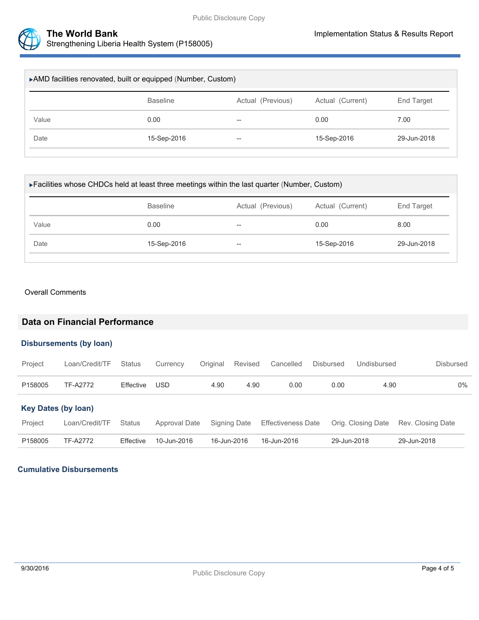

| ▶ AMD facilities renovated, built or equipped (Number, Custom) |                 |                   |                  |                   |  |
|----------------------------------------------------------------|-----------------|-------------------|------------------|-------------------|--|
|                                                                | <b>Baseline</b> | Actual (Previous) | Actual (Current) | <b>End Target</b> |  |
| Value                                                          | 0.00            | $- -$             | 0.00             | 7.00              |  |
| Date                                                           | 15-Sep-2016     | $- -$             | 15-Sep-2016      | 29-Jun-2018       |  |
|                                                                |                 |                   |                  |                   |  |

| ► Facilities whose CHDCs held at least three meetings within the last quarter (Number, Custom) |                 |                          |             |             |  |  |  |  |  |
|------------------------------------------------------------------------------------------------|-----------------|--------------------------|-------------|-------------|--|--|--|--|--|
|                                                                                                | <b>Baseline</b> | Actual (Previous)        |             | End Target  |  |  |  |  |  |
| Value                                                                                          | 0.00            | $- -$                    | 0.00        | 8.00        |  |  |  |  |  |
| Date                                                                                           | 15-Sep-2016     | $\overline{\phantom{m}}$ | 15-Sep-2016 | 29-Jun-2018 |  |  |  |  |  |

#### Overall Comments

# **Data on Financial Performance**

## **Disbursements (by loan)**

| Project                    | Loan/Credit/TF  | <b>Status</b>    | Currency      | Original    | Revised      | Cancelled                 | <b>Disbursed</b> | Undisbursed        | Disbursed         |  |
|----------------------------|-----------------|------------------|---------------|-------------|--------------|---------------------------|------------------|--------------------|-------------------|--|
| P158005                    | <b>TF-A2772</b> | Effective        | USD           | 4.90        | 4.90         | 0.00                      | 0.00             | 4.90               | $0\%$             |  |
| <b>Key Dates (by loan)</b> |                 |                  |               |             |              |                           |                  |                    |                   |  |
| Project                    | Loan/Credit/TF  | <b>Status</b>    | Approval Date |             | Signing Date | <b>Effectiveness Date</b> |                  | Orig. Closing Date | Rev. Closing Date |  |
| P158005                    | TF-A2772        | <b>Effective</b> | 10-Jun-2016   | 16-Jun-2016 |              | 16-Jun-2016               |                  | 29-Jun-2018        | 29-Jun-2018       |  |

## **Cumulative Disbursements**